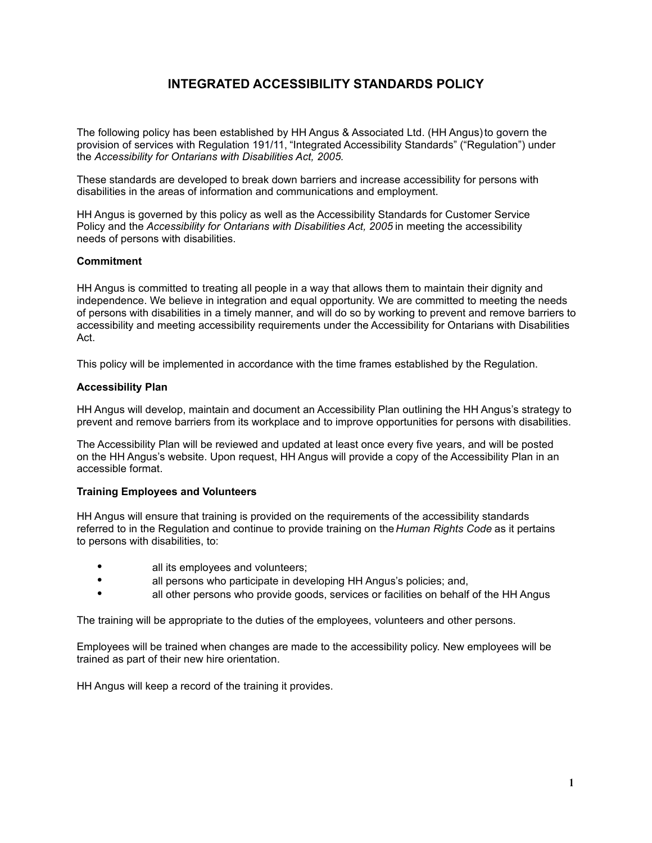# **INTEGRATED ACCESSIBILITY STANDARDS POLICY**

The following policy has been established by HH Angus & Associated Ltd. (HH Angus) to govern the provision of services with Regulation 191/11, "Integrated Accessibility Standards" ("Regulation") under the *Accessibility for Ontarians with Disabilities Act, 2005.*

These standards are developed to break down barriers and increase accessibility for persons with disabilities in the areas of information and communications and employment.

HH Angus is governed by this policy as well as the Accessibility Standards for Customer Service Policy and the *Accessibility for Ontarians with Disabilities Act, 2005* in meeting the accessibility needs of persons with disabilities.

# **Commitment**

HH Angus is committed to treating all people in a way that allows them to maintain their dignity and independence. We believe in integration and equal opportunity. We are committed to meeting the needs of persons with disabilities in a timely manner, and will do so by working to prevent and remove barriers to accessibility and meeting accessibility requirements under the Accessibility for Ontarians with Disabilities Act.

This policy will be implemented in accordance with the time frames established by the Regulation.

# **Accessibility Plan**

HH Angus will develop, maintain and document an Accessibility Plan outlining the HH Angus's strategy to prevent and remove barriers from its workplace and to improve opportunities for persons with disabilities.

The Accessibility Plan will be reviewed and updated at least once every five years, and will be posted on the HH Angus's website. Upon request, HH Angus will provide a copy of the Accessibility Plan in an accessible format.

# **Training Employees and Volunteers**

HH Angus will ensure that training is provided on the requirements of the accessibility standards referred to in the Regulation and continue to provide training on the *Human Rights Code* as it pertains to persons with disabilities, to:

- all its employees and volunteers;
- **all persons who participate in developing HH Angus's policies; and,**
- all other persons who provide goods, services or facilities on behalf of the HH Angus

The training will be appropriate to the duties of the employees, volunteers and other persons.

Employees will be trained when changes are made to the accessibility policy. New employees will be trained as part of their new hire orientation.

HH Angus will keep a record of the training it provides.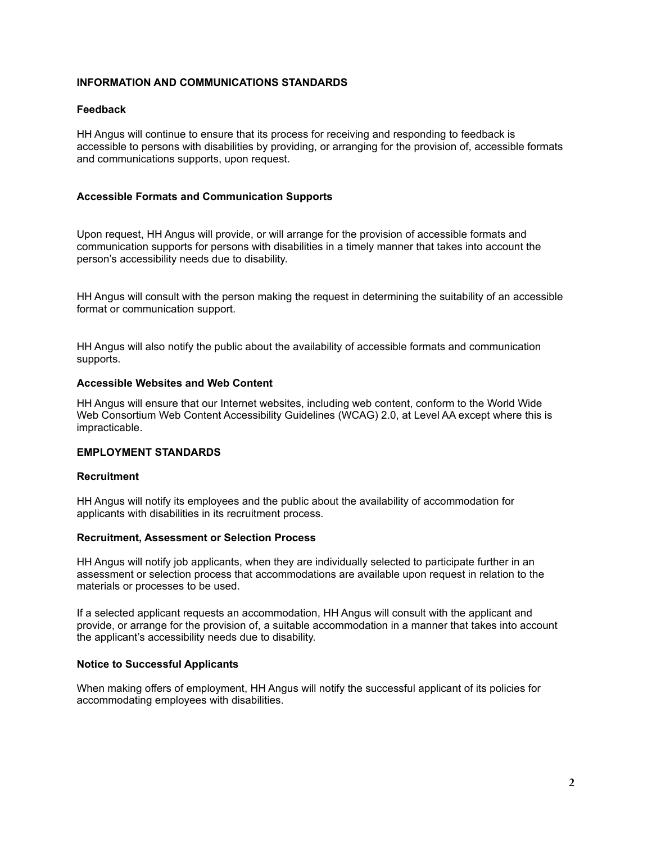# **INFORMATION AND COMMUNICATIONS STANDARDS**

# **Feedback**

HH Angus will continue to ensure that its process for receiving and responding to feedback is accessible to persons with disabilities by providing, or arranging for the provision of, accessible formats and communications supports, upon request.

# **Accessible Formats and Communication Supports**

Upon request, HH Angus will provide, or will arrange for the provision of accessible formats and communication supports for persons with disabilities in a timely manner that takes into account the person's accessibility needs due to disability.

HH Angus will consult with the person making the request in determining the suitability of an accessible format or communication support.

HH Angus will also notify the public about the availability of accessible formats and communication supports.

#### **Accessible Websites and Web Content**

HH Angus will ensure that our Internet websites, including web content, conform to the World Wide Web Consortium Web Content Accessibility Guidelines (WCAG) 2.0, at Level AA except where this is impracticable.

# **EMPLOYMENT STANDARDS**

# **Recruitment**

HH Angus will notify its employees and the public about the availability of accommodation for applicants with disabilities in its recruitment process.

#### **Recruitment, Assessment or Selection Process**

HH Angus will notify job applicants, when they are individually selected to participate further in an assessment or selection process that accommodations are available upon request in relation to the materials or processes to be used.

If a selected applicant requests an accommodation, HH Angus will consult with the applicant and provide, or arrange for the provision of, a suitable accommodation in a manner that takes into account the applicant's accessibility needs due to disability.

# **Notice to Successful Applicants**

When making offers of employment, HH Angus will notify the successful applicant of its policies for accommodating employees with disabilities.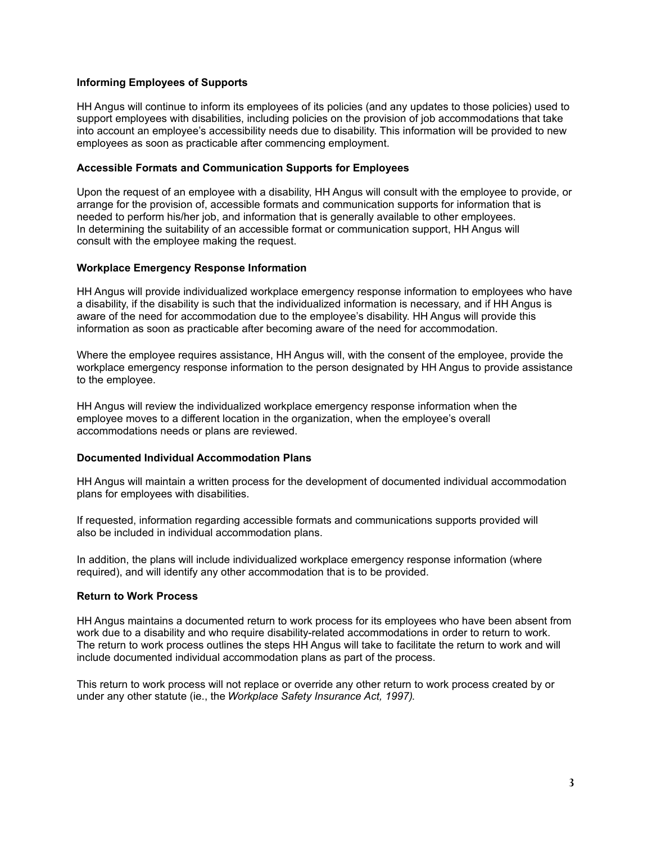# **Informing Employees of Supports**

HH Angus will continue to inform its employees of its policies (and any updates to those policies) used to support employees with disabilities, including policies on the provision of job accommodations that take into account an employee's accessibility needs due to disability. This information will be provided to new employees as soon as practicable after commencing employment.

# **Accessible Formats and Communication Supports for Employees**

Upon the request of an employee with a disability, HH Angus will consult with the employee to provide, or arrange for the provision of, accessible formats and communication supports for information that is needed to perform his/her job, and information that is generally available to other employees. In determining the suitability of an accessible format or communication support, HH Angus will consult with the employee making the request.

# **Workplace Emergency Response Information**

HH Angus will provide individualized workplace emergency response information to employees who have a disability, if the disability is such that the individualized information is necessary, and if HH Angus is aware of the need for accommodation due to the employee's disability. HH Angus will provide this information as soon as practicable after becoming aware of the need for accommodation.

Where the employee requires assistance, HH Angus will, with the consent of the employee, provide the workplace emergency response information to the person designated by HH Angus to provide assistance to the employee.

HH Angus will review the individualized workplace emergency response information when the employee moves to a different location in the organization, when the employee's overall accommodations needs or plans are reviewed.

# **Documented Individual Accommodation Plans**

HH Angus will maintain a written process for the development of documented individual accommodation plans for employees with disabilities.

If requested, information regarding accessible formats and communications supports provided will also be included in individual accommodation plans.

In addition, the plans will include individualized workplace emergency response information (where required), and will identify any other accommodation that is to be provided.

# **Return to Work Process**

HH Angus maintains a documented return to work process for its employees who have been absent from work due to a disability and who require disability-related accommodations in order to return to work. The return to work process outlines the steps HH Angus will take to facilitate the return to work and will include documented individual accommodation plans as part of the process.

This return to work process will not replace or override any other return to work process created by or under any other statute (ie., the *Workplace Safety Insurance Act, 1997)*.